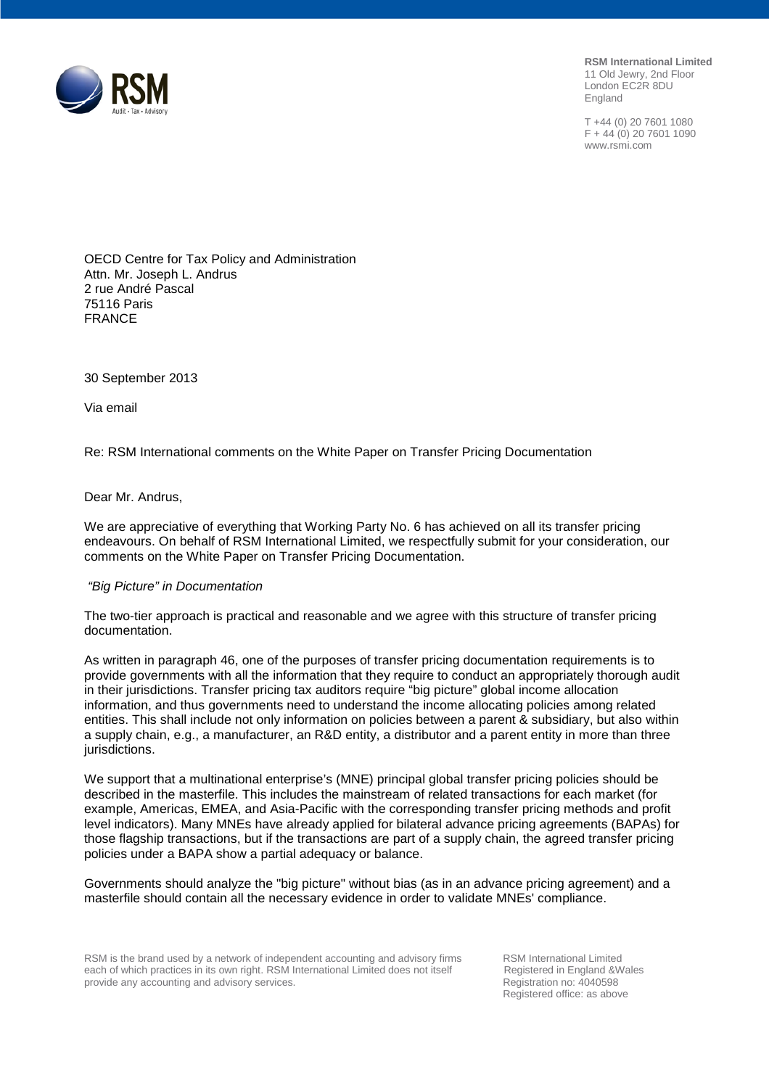**RSM International Limited** 11 Old Jewry, 2nd Floor London EC2R 8DU England

T +44 (0) 20 7601 1080  $F + 44(0)$  20 7601 1090 www.rsmi.com



OECD Centre for Tax Policy and Administration Attn. Mr. Joseph L. Andrus 2 rue André Pascal 75116 Paris FRANCE

30 September 2013

Via email

Re: RSM International comments on the White Paper on Transfer Pricing Documentation

Dear Mr. Andrus,

We are appreciative of everything that Working Party No. 6 has achieved on all its transfer pricing endeavours. On behalf of RSM International Limited, we respectfully submit for your consideration, our comments on the White Paper on Transfer Pricing Documentation.

#### *"Big Picture" in Documentation*

The two-tier approach is practical and reasonable and we agree with this structure of transfer pricing documentation.

As written in paragraph 46, one of the purposes of transfer pricing documentation requirements is to provide governments with all the information that they require to conduct an appropriately thorough audit in their jurisdictions. Transfer pricing tax auditors require "big picture" global income allocation information, and thus governments need to understand the income allocating policies among related entities. This shall include not only information on policies between a parent & subsidiary, but also within a supply chain, e.g., a manufacturer, an R&D entity, a distributor and a parent entity in more than three jurisdictions.

We support that a multinational enterprise's (MNE) principal global transfer pricing policies should be described in the masterfile. This includes the mainstream of related transactions for each market (for example, Americas, EMEA, and Asia-Pacific with the corresponding transfer pricing methods and profit level indicators). Many MNEs have already applied for bilateral advance pricing agreements (BAPAs) for those flagship transactions, but if the transactions are part of a supply chain, the agreed transfer pricing policies under a BAPA show a partial adequacy or balance.

Governments should analyze the "big picture" without bias (as in an advance pricing agreement) and a masterfile should contain all the necessary evidence in order to validate MNEs' compliance.

RSM is the brand used by a network of independent accounting and advisory firms RSM International Limited each of which practices in its own right. RSM International Limited does not itself Registered in England &Wales each of which practices in its own right. RSM International Limited does not itself Registered in England &V<br>provide any accounting and advisory services. The Registration no: 4040598 provide any accounting and advisory services.

Registered office: as above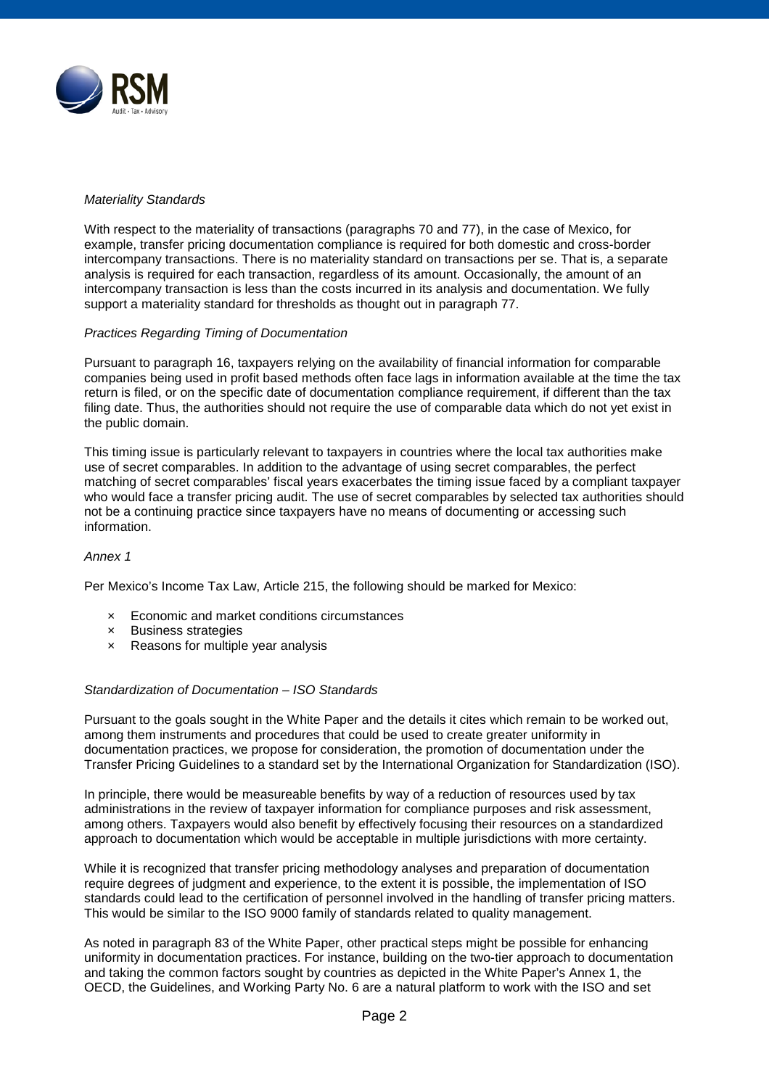

### *Materiality Standards*

With respect to the materiality of transactions (paragraphs 70 and 77), in the case of Mexico, for example, transfer pricing documentation compliance is required for both domestic and cross-border intercompany transactions. There is no materiality standard on transactions per se. That is, a separate analysis is required for each transaction, regardless of its amount. Occasionally, the amount of an intercompany transaction is less than the costs incurred in its analysis and documentation. We fully support a materiality standard for thresholds as thought out in paragraph 77.

### *Practices Regarding Timing of Documentation*

Pursuant to paragraph 16, taxpayers relying on the availability of financial information for comparable companies being used in profit based methods often face lags in information available at the time the tax return is filed, or on the specific date of documentation compliance requirement, if different than the tax filing date. Thus, the authorities should not require the use of comparable data which do not yet exist in the public domain.

This timing issue is particularly relevant to taxpayers in countries where the local tax authorities make use of secret comparables. In addition to the advantage of using secret comparables, the perfect matching of secret comparables' fiscal years exacerbates the timing issue faced by a compliant taxpayer who would face a transfer pricing audit. The use of secret comparables by selected tax authorities should not be a continuing practice since taxpayers have no means of documenting or accessing such information.

#### *Annex 1*

Per Mexico's Income Tax Law, Article 215, the following should be marked for Mexico:

- × Economic and market conditions circumstances
- × Business strategies
- × Reasons for multiple year analysis

#### *Standardization of Documentation – ISO Standards*

Pursuant to the goals sought in the White Paper and the details it cites which remain to be worked out, among them instruments and procedures that could be used to create greater uniformity in documentation practices, we propose for consideration, the promotion of documentation under the Transfer Pricing Guidelines to a standard set by the International Organization for Standardization (ISO).

In principle, there would be measureable benefits by way of a reduction of resources used by tax administrations in the review of taxpayer information for compliance purposes and risk assessment, among others. Taxpayers would also benefit by effectively focusing their resources on a standardized approach to documentation which would be acceptable in multiple jurisdictions with more certainty.

While it is recognized that transfer pricing methodology analyses and preparation of documentation require degrees of judgment and experience, to the extent it is possible, the implementation of ISO standards could lead to the certification of personnel involved in the handling of transfer pricing matters. This would be similar to the ISO 9000 family of standards related to quality management.

As noted in paragraph 83 of the White Paper, other practical steps might be possible for enhancing uniformity in documentation practices. For instance, building on the two-tier approach to documentation and taking the common factors sought by countries as depicted in the White Paper's Annex 1, the OECD, the Guidelines, and Working Party No. 6 are a natural platform to work with the ISO and set